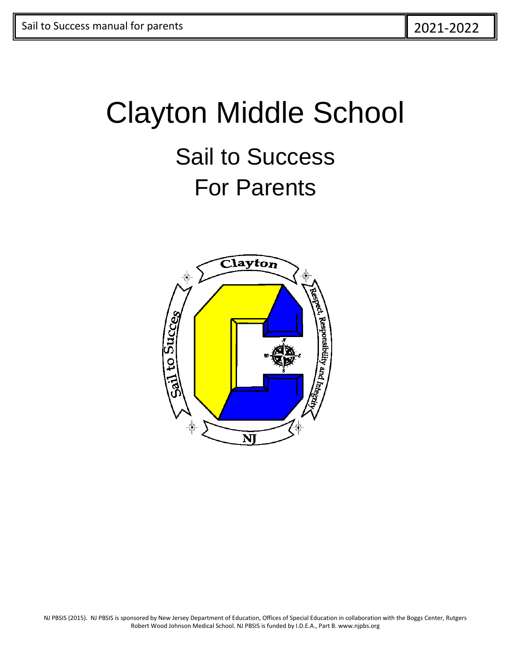# Clayton Middle School Sail to Success For Parents



NJ PBSIS (2015). NJ PBSIS is sponsored by New Jersey Department of Education, Offices of Special Education in collaboration with the Boggs Center, Rutgers Robert Wood Johnson Medical School. NJ PBSIS is funded by I.D.E.A., Part B. www.njpbs.org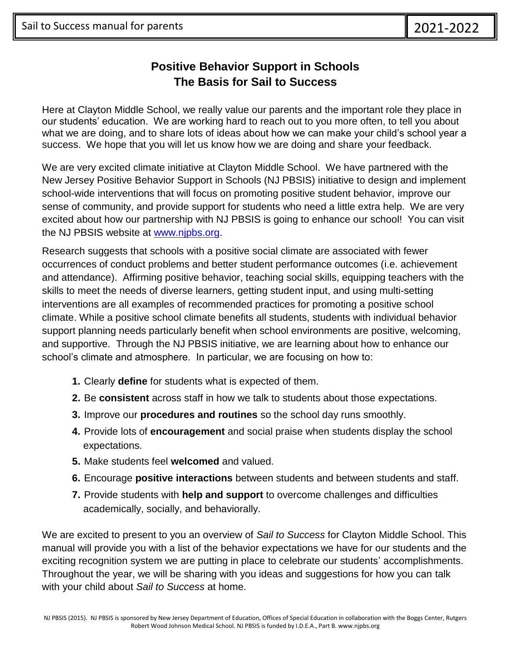#### **Positive Behavior Support in Schools The Basis for Sail to Success**

Here at Clayton Middle School, we really value our parents and the important role they place in our students' education. We are working hard to reach out to you more often, to tell you about what we are doing, and to share lots of ideas about how we can make your child's school year a success. We hope that you will let us know how we are doing and share your feedback.

We are very excited climate initiative at Clayton Middle School. We have partnered with the New Jersey Positive Behavior Support in Schools (NJ PBSIS) initiative to design and implement school-wide interventions that will focus on promoting positive student behavior, improve our sense of community, and provide support for students who need a little extra help. We are very excited about how our partnership with NJ PBSIS is going to enhance our school! You can visit the NJ PBSIS website at [www.njpbs.org.](http://www.njpbs.org/)

Research suggests that schools with a positive social climate are associated with fewer occurrences of conduct problems and better student performance outcomes (i.e. achievement and attendance). Affirming positive behavior, teaching social skills, equipping teachers with the skills to meet the needs of diverse learners, getting student input, and using multi-setting interventions are all examples of recommended practices for promoting a positive school climate. While a positive school climate benefits all students, students with individual behavior support planning needs particularly benefit when school environments are positive, welcoming, and supportive. Through the NJ PBSIS initiative, we are learning about how to enhance our school's climate and atmosphere. In particular, we are focusing on how to:

- **1.** Clearly **define** for students what is expected of them.
- **2.** Be **consistent** across staff in how we talk to students about those expectations.
- **3.** Improve our **procedures and routines** so the school day runs smoothly.
- **4.** Provide lots of **encouragement** and social praise when students display the school expectations.
- **5.** Make students feel **welcomed** and valued.
- **6.** Encourage **positive interactions** between students and between students and staff.
- **7.** Provide students with **help and support** to overcome challenges and difficulties academically, socially, and behaviorally.

We are excited to present to you an overview of *Sail to Success* for Clayton Middle School. This manual will provide you with a list of the behavior expectations we have for our students and the exciting recognition system we are putting in place to celebrate our students' accomplishments. Throughout the year, we will be sharing with you ideas and suggestions for how you can talk with your child about *Sail to Success* at home.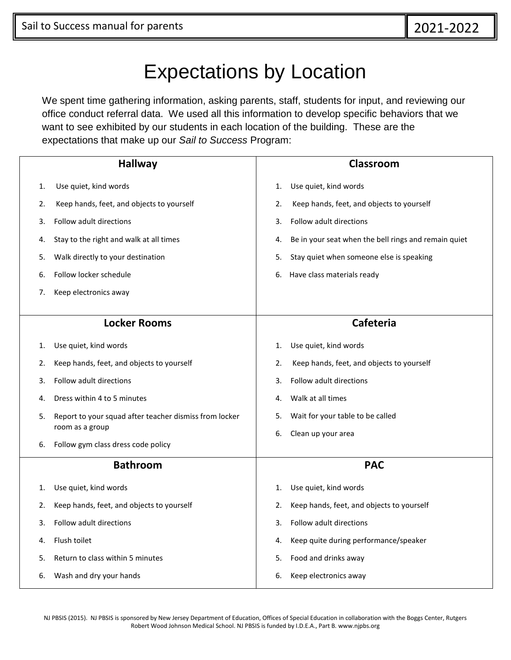### Expectations by Location

We spent time gathering information, asking parents, staff, students for input, and reviewing our office conduct referral data. We used all this information to develop specific behaviors that we want to see exhibited by our students in each location of the building. These are the expectations that make up our *Sail to Success* Program:

| <b>Hallway</b> |                                                        | Classroom                                                  |  |  |
|----------------|--------------------------------------------------------|------------------------------------------------------------|--|--|
| 1.             | Use quiet, kind words                                  | Use quiet, kind words<br>1.                                |  |  |
| 2.             | Keep hands, feet, and objects to yourself              | Keep hands, feet, and objects to yourself<br>2.            |  |  |
| 3.             | Follow adult directions                                | Follow adult directions<br>3.                              |  |  |
| 4.             | Stay to the right and walk at all times                | Be in your seat when the bell rings and remain quiet<br>4. |  |  |
| 5.             | Walk directly to your destination                      | Stay quiet when someone else is speaking<br>5.             |  |  |
| 6.             | Follow locker schedule                                 | Have class materials ready<br>6.                           |  |  |
| 7.             | Keep electronics away                                  |                                                            |  |  |
|                |                                                        |                                                            |  |  |
|                | <b>Locker Rooms</b>                                    | <b>Cafeteria</b>                                           |  |  |
| 1.             | Use quiet, kind words                                  | Use quiet, kind words<br>1.                                |  |  |
| 2.             | Keep hands, feet, and objects to yourself              | Keep hands, feet, and objects to yourself<br>2.            |  |  |
| 3.             | Follow adult directions                                | Follow adult directions<br>3.                              |  |  |
| 4.             | Dress within 4 to 5 minutes                            | Walk at all times<br>4.                                    |  |  |
| 5.             | Report to your squad after teacher dismiss from locker | Wait for your table to be called<br>5.                     |  |  |
|                | room as a group                                        | Clean up your area<br>6.                                   |  |  |
| 6.             | Follow gym class dress code policy                     |                                                            |  |  |
|                | <b>Bathroom</b>                                        | <b>PAC</b>                                                 |  |  |
| 1.             | Use quiet, kind words                                  | Use quiet, kind words<br>1.                                |  |  |
| 2.             | Keep hands, feet, and objects to yourself              | Keep hands, feet, and objects to yourself<br>2.            |  |  |
| 3.             | Follow adult directions                                | 3.<br>Follow adult directions                              |  |  |
| 4.             | Flush toilet                                           | Keep quite during performance/speaker<br>4.                |  |  |
| 5.             | Return to class within 5 minutes                       | Food and drinks away<br>5.                                 |  |  |
| 6.             | Wash and dry your hands                                | Keep electronics away<br>6.                                |  |  |

NJ PBSIS (2015). NJ PBSIS is sponsored by New Jersey Department of Education, Offices of Special Education in collaboration with the Boggs Center, Rutgers Robert Wood Johnson Medical School. NJ PBSIS is funded by I.D.E.A., Part B. www.njpbs.org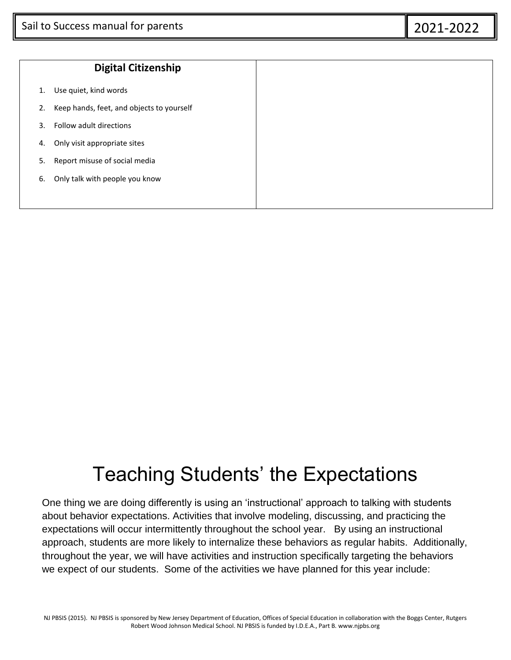|    | <b>Digital Citizenship</b>                |
|----|-------------------------------------------|
| 1. | Use quiet, kind words                     |
| 2. | Keep hands, feet, and objects to yourself |
| 3. | Follow adult directions                   |
| 4. | Only visit appropriate sites              |
| 5. | Report misuse of social media             |
| 6. | Only talk with people you know            |
|    |                                           |

### Teaching Students' the Expectations

One thing we are doing differently is using an 'instructional' approach to talking with students about behavior expectations. Activities that involve modeling, discussing, and practicing the expectations will occur intermittently throughout the school year. By using an instructional approach, students are more likely to internalize these behaviors as regular habits. Additionally, throughout the year, we will have activities and instruction specifically targeting the behaviors we expect of our students. Some of the activities we have planned for this year include: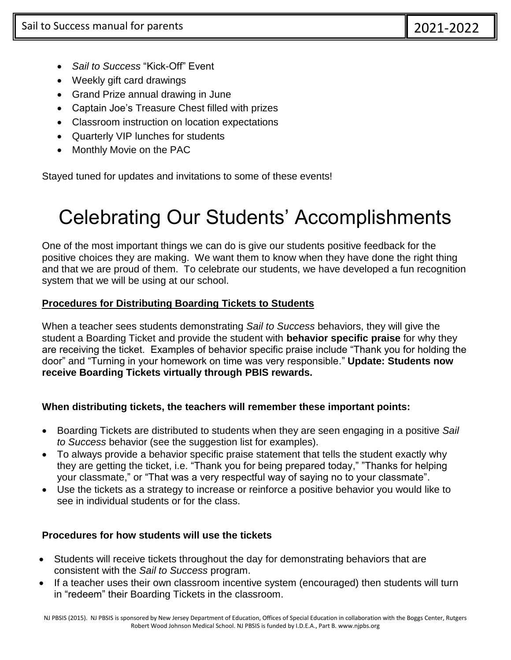- *Sail to Success* "Kick-Off" Event
- Weekly gift card drawings
- Grand Prize annual drawing in June
- Captain Joe's Treasure Chest filled with prizes
- Classroom instruction on location expectations
- Quarterly VIP lunches for students
- Monthly Movie on the PAC

Stayed tuned for updates and invitations to some of these events!

## Celebrating Our Students' Accomplishments

One of the most important things we can do is give our students positive feedback for the positive choices they are making. We want them to know when they have done the right thing and that we are proud of them. To celebrate our students, we have developed a fun recognition system that we will be using at our school.

#### **Procedures for Distributing Boarding Tickets to Students**

When a teacher sees students demonstrating *Sail to Success* behaviors, they will give the student a Boarding Ticket and provide the student with **behavior specific praise** for why they are receiving the ticket. Examples of behavior specific praise include "Thank you for holding the door" and "Turning in your homework on time was very responsible." **Update: Students now receive Boarding Tickets virtually through PBIS rewards.**

#### **When distributing tickets, the teachers will remember these important points:**

- Boarding Tickets are distributed to students when they are seen engaging in a positive *Sail to Success* behavior (see the suggestion list for examples).
- To always provide a behavior specific praise statement that tells the student exactly why they are getting the ticket, i.e. "Thank you for being prepared today," "Thanks for helping your classmate," or "That was a very respectful way of saying no to your classmate".
- Use the tickets as a strategy to increase or reinforce a positive behavior you would like to see in individual students or for the class.

#### **Procedures for how students will use the tickets**

- Students will receive tickets throughout the day for demonstrating behaviors that are consistent with the *Sail to Success* program.
- If a teacher uses their own classroom incentive system (encouraged) then students will turn in "redeem" their Boarding Tickets in the classroom.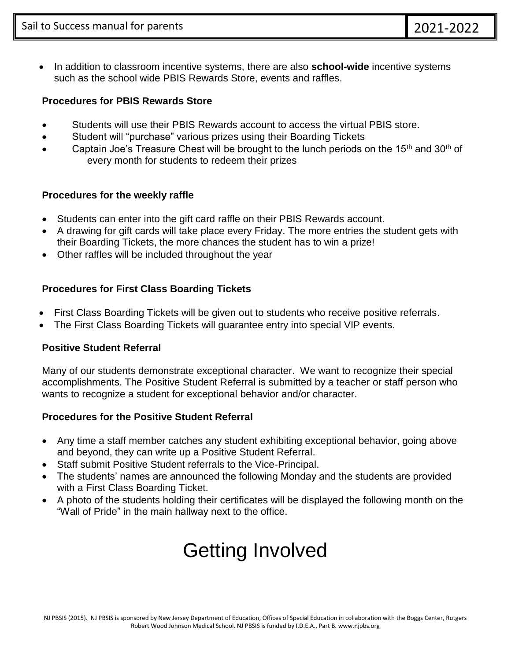In addition to classroom incentive systems, there are also **school-wide** incentive systems such as the school wide PBIS Rewards Store, events and raffles.

#### **Procedures for PBIS Rewards Store**

- Students will use their PBIS Rewards account to access the virtual PBIS store.
- Student will "purchase" various prizes using their Boarding Tickets
- Captain Joe's Treasure Chest will be brought to the lunch periods on the  $15<sup>th</sup>$  and  $30<sup>th</sup>$  of every month for students to redeem their prizes

#### **Procedures for the weekly raffle**

- Students can enter into the gift card raffle on their PBIS Rewards account.
- A drawing for gift cards will take place every Friday. The more entries the student gets with their Boarding Tickets, the more chances the student has to win a prize!
- Other raffles will be included throughout the year

#### **Procedures for First Class Boarding Tickets**

- First Class Boarding Tickets will be given out to students who receive positive referrals.
- The First Class Boarding Tickets will guarantee entry into special VIP events.

#### **Positive Student Referral**

Many of our students demonstrate exceptional character. We want to recognize their special accomplishments. The Positive Student Referral is submitted by a teacher or staff person who wants to recognize a student for exceptional behavior and/or character.

#### **Procedures for the Positive Student Referral**

- Any time a staff member catches any student exhibiting exceptional behavior, going above and beyond, they can write up a Positive Student Referral.
- Staff submit Positive Student referrals to the Vice-Principal.
- The students' names are announced the following Monday and the students are provided with a First Class Boarding Ticket.
- A photo of the students holding their certificates will be displayed the following month on the "Wall of Pride" in the main hallway next to the office.

# Getting Involved